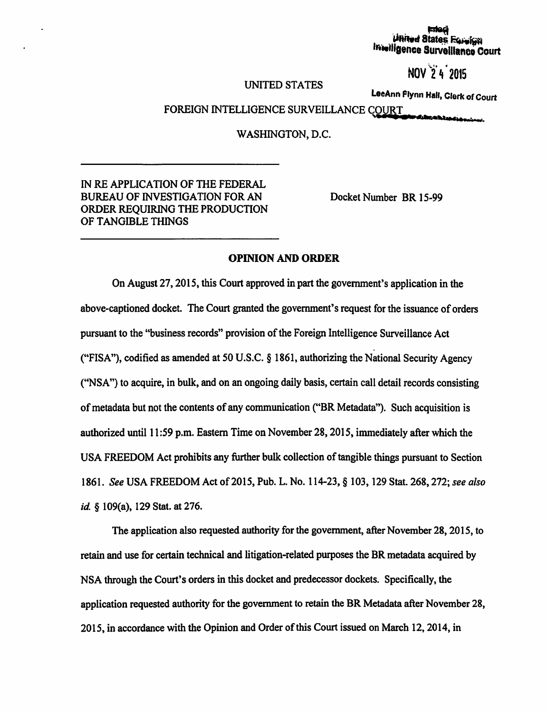# | med<br>| United States Forelign<br>| Intelligence Survalllance Court

## ~·· . NOV 2 ~ <sup>2015</sup>

#### UNITED STATES

LeeAnn Flynn Hall, Clerk of Court

### FOREIGN INTELLIGENCE SURVEILLANCE COURT

, •• a• .. .\_...,,..,., ...

WASHINGTON, D.C.

#### IN REAPPLICATION OF THE FEDERAL BUREAU OF INVESTIGATION FOR AN ORDER REQUIRING THE PRODUCTION OF TANGIBLE THINGS

Docket Number BR 15-99

#### OPINION AND ORDER

On August 27, 2015, this Court approved in part the government's application in the above-captioned docket. The Court granted the government's request for the issuance of orders pursuant to the "business records" provision of the Foreign Intelligence Surveillance Act ("FISA"), codified as amended at 50 U.S.C. § 1861, authorizing the National Security Agency ("NSA") to acquire, in bulk, and on an ongoing daily basis, certain call detail records consisting of metadata but not the contents of any communication ("BR Metadata"). Such acquisition is authorized until 11 :59 p.m. Eastern Time on November 28, 2015, immediately after which the USA FREEDOM Act prohibits any further bulk collection of tangible things pursuant to Section 1861. *See USA FREEDOM Act of 2015, Pub. L. No.* 114-23, § 103, 129 Stat. 268, 272; *see also id* § 109(a), 129 Stat. at 276.

The application also requested authority for the government, after November 28, 2015, to retain and use for certain technical and litigation-related purposes the BR metadata acquired by NSA through the Court's orders in this docket and predecessor dockets. Specifically, the application requested authority for the government to retain the BR Metadata after November 28, 2015, in accordance with the Opinion and Order of this Court issued on March 12, 2014, in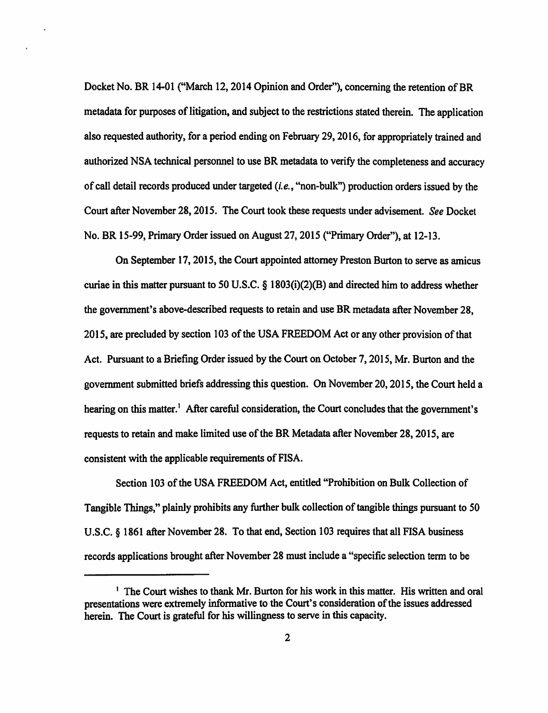Docket No. BR 14-01 ("March 12, 2014 Opinion and Order"), concerning the retention of BR metadata for purposes of litigation, and subject to the restrictions stated therein. The application also requested authority, for a period ending on February 29, 2016, for appropriately trained and authorized NSA technical personnel to use BR metadata to verify the completeness and accuracy of call detail records produced under targeted *(i.e.,* "non-bulk") production orders issued by the Court after November 28, 2015. The Court took these requests under advisement. *See* Docket No. BR 15-99, Primary Order issued on August 27, 2015 ("Primary Order"), at 12-13.

On September 17, 2015, the Court appointed attorney Preston Burton to serve as amicus curiae in this matter pursuant to 50 U.S.C. § 1803(i)(2)(B) and directed him to address whether the government's above-described requests to retain and use BR metadata after November 28, 2015, are precluded by section 103 of the USA FREEDOM Act or any other provision of that Act. Pursuant to a Briefing Order issued by the Court on October 7, 2015, Mr. Burton and the government submitted briefs addressing this question. On November 20, 2015, the Court held a hearing on this matter.<sup>1</sup> After careful consideration, the Court concludes that the government's requests to retain and make limited use of the BR Metadata after November 28, 2015, are consistent with the applicable requirements of FISA.

Section 103 of the USA FREEDOM Act, entitled "Prohibition on Bulk Collection of Tangible Things," plainly prohibits any further bulk collection of tangible things pursuant to 50 U.S.C. § 1861 after November 28. To that end, Section 103 requires that all FISA business records applications brought after November 28 must include a "specific selection term to be

<sup>&</sup>lt;sup>1</sup> The Court wishes to thank Mr. Burton for his work in this matter. His written and oral presentations were extremely informative to the Court's consideration of the issues addressed herein. The Court is grateful for his willingness to serve in this capacity.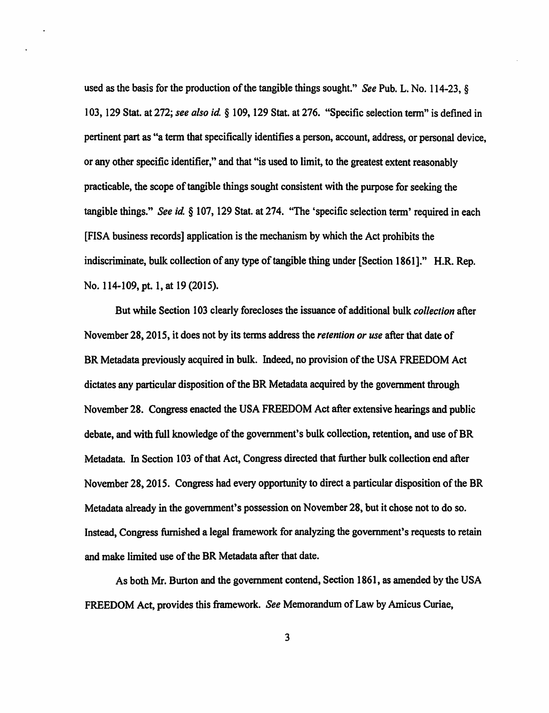used as the basis for the production of the tangible things sought.'' *See* Pub. L. No. 114-23, § I 03, 129 Stat. at 272; *see also id* § 109, 129 Stat. at 27 6. "Specific selection tenn" is defined in pertinent part as "a term that specifically identifies a person, account, address, or personal device, or any other specific identifier," and that "is used to limit, to the greatest extent reasonably practicable, the scope of tangible things sought consistent with the purpose for seeking the tangible things." *See id.* § 107, 129 Stat. at 274. "The 'specific selection term' required in each [FISA business records] application is the mechanism by which the Act prohibits the indiscriminate, bulk collection of any type of tangible thing under [Section 1861]." H.R. Rep. No. 114-109, pt. 1, at 19 (2015).

But while Section 103 clearly forecloses the issuance of additional bulk *collection* after November 28, 2015, it does not by its tenns address the *retention or use* after that date of BR Metadata previously acquired in bulk. Indeed, no provision of the USA FREEDOM Act dictates any particular disposition of the BR Metadata acquired by the government through November 28. Congress enacted the USA FREEDOM Act after extensive hearings and public debate, and with full knowledge of the government's bulk collection, retention, and use of BR Metadata. In Section 103 of that Act, Congress directed that further bulk collection end after November 28, 2015. Congress had every opportunity to direct a particular disposition of the BR Metadata already in the government's possession on November 28, but it chose not to do so. Instead, Congress furnished a legal framework for analyzing the government's requests to retain and make limited use of the BR Metadata after that date.

As both Mr. Burton and the government contend, Section 1861, as amended by the USA FREEDOM Act, provides this framework. *See* Memorandum of Law by Amicus Curiae,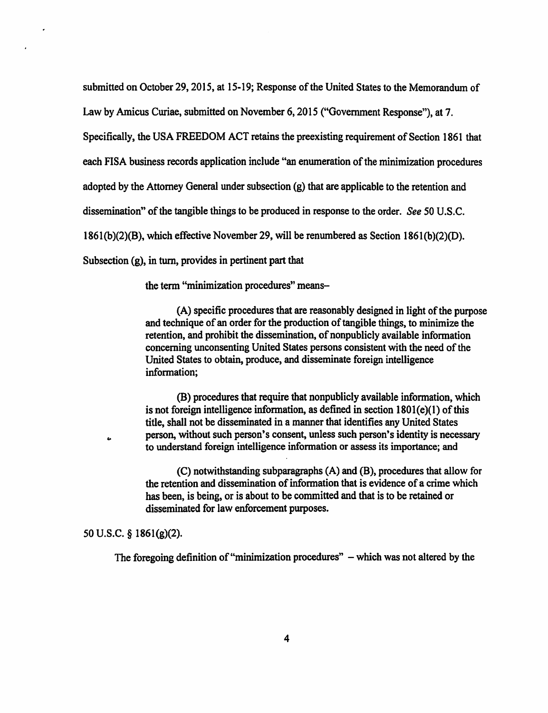submitted on October 29, 2015, at 15-19; Response of the United States to the Memorandum of

Law by Amicus Curiae, submitted on November 6, 2015 ("Government Response"), at 7.

Specifically, the USA FREEDOM ACT retains the preexisting requirement of Section 1861 that

each FISA business records application include "an enumeration of the minimization procedures

adopted by the Attorney General under subsection (g) that are applicable to the retention and

dissemination" of the tangible things to be produced in response to the order. *See* 50 U.S.C.

1861(b)(2)(B), which effective November 29, will be renumbered as Section 186l(b)(2)(D).

Subsection (g), in tum, provides in pertinent part that

the term "minimization procedures" means-

(A) specific procedures that are reasonably designed in light of the purpose and technique of an order for the production of tangible things, to minimize the retention, and prohibit the dissemination, of nonpublicly available infonnation concerning unconsenting United States persons consistent with the need of the United States to obtain, produce, and disseminate foreign intelligence information;

(B) procedures that require that nonpublicly available information, which is not foreign intelligence information, as defined in section  $1801(e)(1)$  of this title, shall not be disseminated in a manner that identifies any United States person, without such person's consent, unless such person's identity is necessary to understand foreign intelligence information or assess its importance; and

(C) notwithstanding subparagraphs (A) and (B}, procedures that allow for the retention and dissemination of information that is evidence of a crime which has been, is being, or is about to be committed and that is to be retained or disseminated for law enforcement purposes.

50 u.s.c. § 1861(g)(2).

 $\bullet$ 

The foregoing definition of "minimization procedures" - which was not altered by the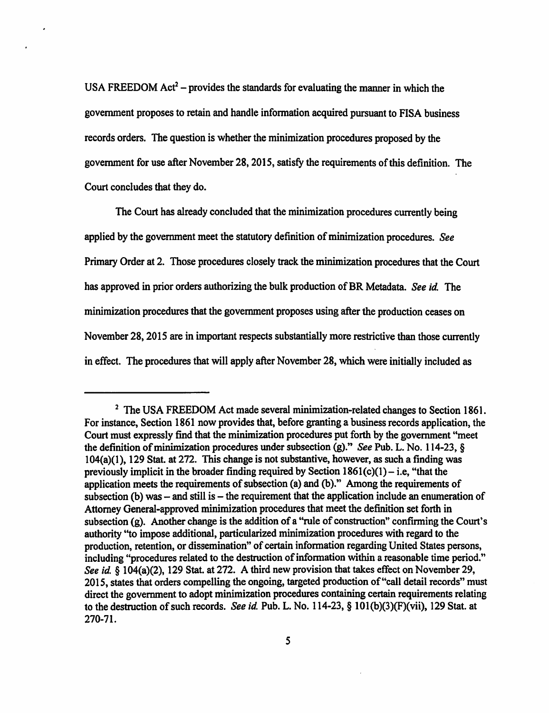USA FREEDOM Act<sup>2</sup> – provides the standards for evaluating the manner in which the government proposes to retain and handle information acquired pursuant to FISA business records orders. The question is whether the minimization procedures proposed by the government for use after November 28, 2015, satisfy the requirements of this definition. The Court concludes that they do.

The Court has already concluded that the minimization procedures currently being applied by the government meet the statutory definition of minimization procedures. *See*  Primary Order at 2. Those procedures closely track the minimization procedures that the Court has approved in prior orders authorizing the bulk production of BR Metadata. *See id* The minimization procedures that the government proposes using after the production ceases on November 28, 2015 are in important respects substantially more restrictive than those currently in effect. The procedures that will apply after November 28, which were initially included as

<sup>&</sup>lt;sup>2</sup> The USA FREEDOM Act made several minimization-related changes to Section 1861. For instance, Section 1861 now provides that, before granting a business records application, the Court must expressly find that the minimization procedures put forth by the government "meet the definition of minimization procedures under subsection (g)." *See Pub. L. No.* 114-23, § 104(a)(l), 129 Stat. at 272. This change is not substantive, however, as such a finding was previously implicit in the broader finding required by Section  $1861(c)(1) - i.e.$  "that the application meets the requirements of subsection (a) and (b)." Among the requirements of subsection (b) was  $-$  and still is  $-$  the requirement that the application include an enumeration of Attorney General-approved minimization procedures that meet the definition set forth in subsection (g). Another change is the addition of a "rule of construction" confirming the Court's authority "to impose additional, particularized minimization procedures with regard to the production, retention, or dissemination" of certain information regarding United States persons, including "procedures related to the destruction of information within a reasonable time period." *See id.* § 104(a)(2), 129 Stat. at 272. A third new provision that takes effect on November 29, 2015, states that orders compelling the ongoing, targeted production of "call detail records" must direct the government to adopt minimization procedures containing certain requirements relating to the destruction of such records. *See id.* Pub. L. No. 114-23, § 101(b)(3)(F)(vii), 129 Stat. at 270-71.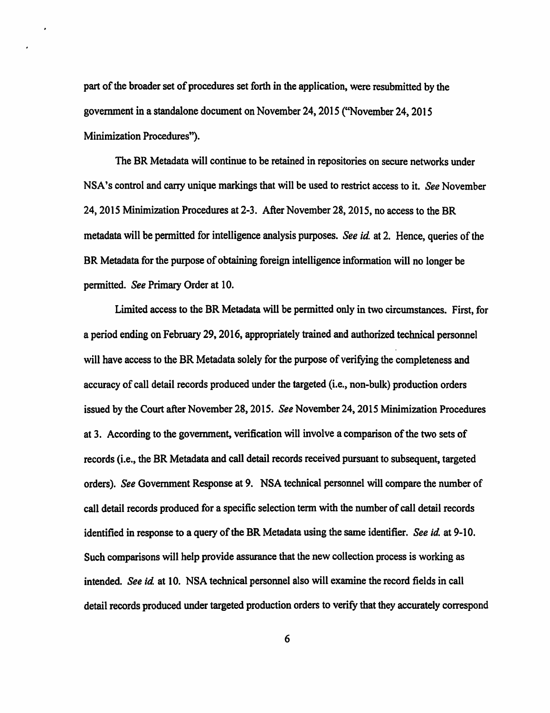part of the broader set of procedures set forth in the application, were resubmitted by the government in a standalone document on November 24, 2015 ("November 24, 2015 Minimization Procedures").

The BR Metadata will continue to be retained in repositories on secure networks under NSA's control and carry unique markings that will be used to restrict access to it. *See* November 24, 2015 Minimization Procedures at 2-3. After November 28, 2015, no access to the BR metadata will be permitted for intelligence analysis purposes. *See id* at 2. Hence, queries of the BR Metadata for the purpose of obtaining foreign intelligence information will no longer be permitted. *See* Primary Order at 10.

Limited access to the BR Metadata will be permitted only in two circumstances. First, for a period ending on February 29, 2016, appropriately trained and authorized technical personnel will have access to the BR Metadata solely for the purpose of verifying the completeness and accuracy of call detail records produced under the targeted (i.e., non-bulk) production orders issued by the Court after November 28, 2015. *See* November 24, 2015 Minimization Procedures at 3. According to the government, verification will involve a comparison of the two sets of records (i.e., the BR Metadata and call detail records received pursuant to subsequent, targeted orders). *See* Government Response at 9. NSA technical personnel will compare the number of call detail records produced for a specific selection term with the number of call detail records identified in response to a query of the BR Metadata using the same identifier. *See id* at 9-10. Such comparisons will help provide assurance that the new collection process is working as intended. *See id* at 10. NSA technical personnel also will examine the record fields in call detail records produced under targeted production orders to verify that they accurately correspond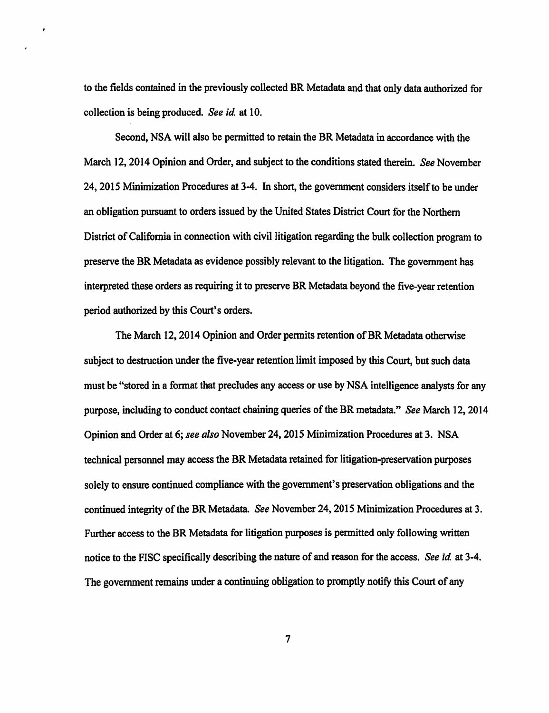to the fields contained in the previously collected BR Metadata and that only data authorized for collection is being produced. *See id.* at 10.

Second, NSA will also be pennitted to retain the BR Metadata in accordance with the March 12, 2014 Opinion and Order, and subject to the conditions stated therein. *See* November 24, 2015 Minimization Procedures at 3-4. In short, the government considers itself to be under an obligation pursuant to orders issued by the United States District Court for the Northern District of California in connection with civil litigation regarding the bulk collection program to preserve the BR Metadata as evidence possibly relevant to the litigation. The government has interpreted these orders as requiring it to preserve BR Metadata beyond the five-year retention period authorized by this Court's orders.

The March 12, 2014 Opinion and Order pennits retention of BR Metadata otherwise subject to destruction under the five-year retention limit imposed by this Court, but such data must be "stored in a format that precludes any access or use by NSA intelligence analysts for any purpose, including to conduct contact chaining queries of the BR metadata. '' *See* March 12, 2014 Opinion and Order at 6; *see also* November 24, 2015 Minimization Procedures at 3. NSA technical personnel may access the BR Metadata retained for litigation-preservation purposes solely to ensure continued compliance with the government's preservation obligations and the continued integrity of the BR Metadata. *See* November 24, 2015 Minimization Procedures at 3. Further access to the BR Metadata for litigation purposes is permitted only following written notice to the FlSC specifically describing the nature of and reason for the access. *See id* at 3-4. The government remains under a continuing obligation to promptly notify this Court of any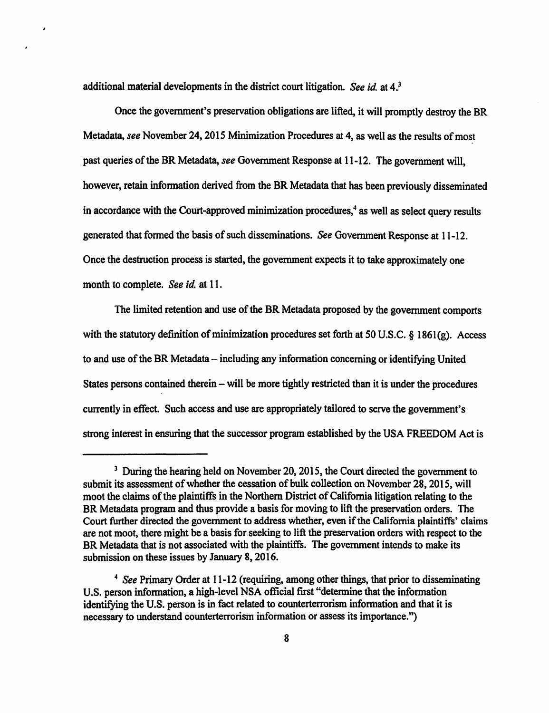additional material developments in the district court litigation. *See id* at 4.3

Once the government's preservation obligations are lifted, it will promptly destroy the BR Metadata, *see* November 24, 2015 Minimization Procedures at 4, as well as the results of most past queries of the BR Metadata, *see* Government Response at 11-12. The government will, however, retain information derived from the BR Metadata that has been previously disseminated in accordance with the Court-approved minimization procedures, $4$  as well as select query results generated that fonned the basis of such disseminations. *See* Government Response at 11-12. Once the destruction process is started, the government expects it to take approximately one month to complete. *See id.* at 11.

The limited retention and use of the BR Metadata proposed by the government comports with the statutory definition of minimization procedures set forth at 50 U.S.C. § 1861(g). Access to and use of the BR Metadata - including any information concerning or identifying United States persons contained therein – will be more tightly restricted than it is under the procedures currently in effect. Such access and use are appropriately tailored to serve the government's strong interest in ensuring that the successor program established by the USA FREEDOM Act is

<sup>&</sup>lt;sup>3</sup> During the hearing held on November 20, 2015, the Court directed the government to submit its assessment of whether the cessation of bulk collection on November 28, 2015, will moot the claims of the plaintiffs in the Northern District of California litigation relating to the BR Metadata program and thus provide a basis for moving to lift the preservation orders. The Court further directed the government to address whether, even if the California plaintiffs' claims are not moot, there might be a basis for seeking to lift the preservation orders with respect to the BR Metadata that is not associated with the plaintiffs. The government intends to make its submission on these issues by January 8, 2016.

<sup>4</sup>*See* Primary Order at 11-12 (requiring, among other things, that prior to disseminating U.S. person infonnation, a high-level NSA official first "detennine that the information identifying the U.S. person is in fact related to counterterrorism information and that it is necessary to understand counterterrorism information or assess its importance.")